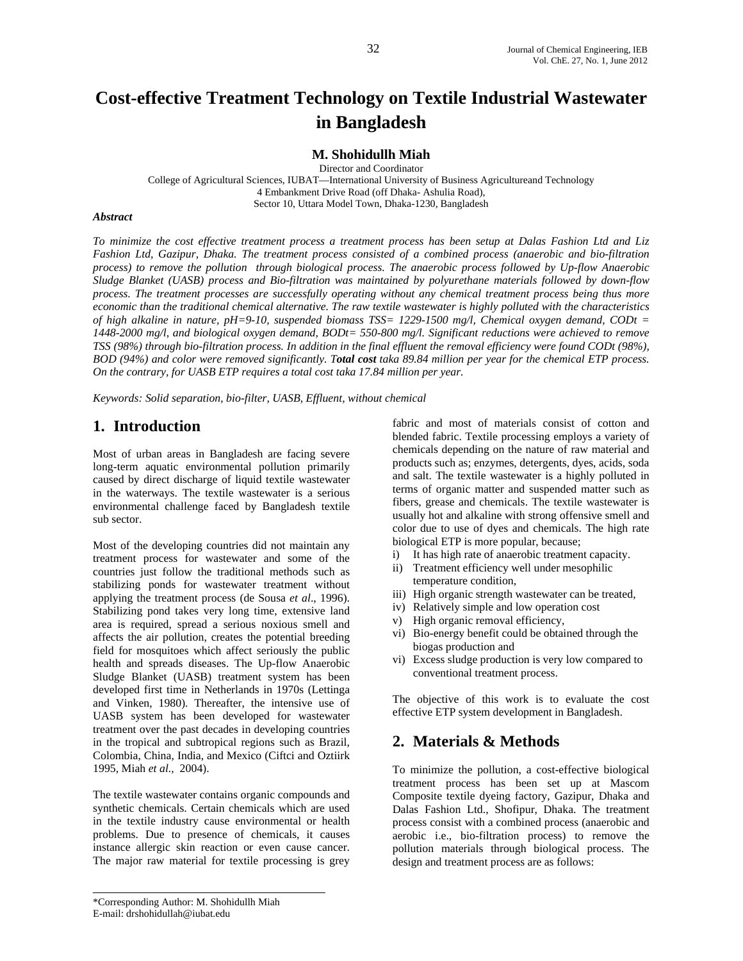# **Cost-effective Treatment Technology on Textile Industrial Wastewater in Bangladesh**

## **M. Shohidullh Miah**

Director and Coordinator College of Agricultural Sciences, IUBAT—International University of Business Agricultureand Technology 4 Embankment Drive Road (off Dhaka- Ashulia Road), Sector 10, Uttara Model Town, Dhaka-1230, Bangladesh

#### *Abstract*

*To minimize the cost effective treatment process a treatment process has been setup at Dalas Fashion Ltd and Liz Fashion Ltd, Gazipur, Dhaka. The treatment process consisted of a combined process (anaerobic and bio-filtration process) to remove the pollution through biological process. The anaerobic process followed by Up-flow Anaerobic Sludge Blanket (UASB) process and Bio-filtration was maintained by polyurethane materials followed by down-flow process. The treatment processes are successfully operating without any chemical treatment process being thus more economic than the traditional chemical alternative. The raw textile wastewater is highly polluted with the characteristics of high alkaline in nature, pH=9-10, suspended biomass TSS= 1229-1500 mg/l, Chemical oxygen demand, CODt = 1448-2000 mg/l, and biological oxygen demand, BODt= 550-800 mg/l. Significant reductions were achieved to remove TSS (98%) through bio-filtration process. In addition in the final effluent the removal efficiency were found CODt (98%), BOD (94%) and color were removed significantly. Total cost taka 89.84 million per year for the chemical ETP process. On the contrary, for UASB ETP requires a total cost taka 17.84 million per year.*

*Keywords: Solid separation, bio-filter, UASB, Effluent, without chemical* 

# **1. Introduction**

Most of urban areas in Bangladesh are facing severe long-term aquatic environmental pollution primarily caused by direct discharge of liquid textile wastewater in the waterways. The textile wastewater is a serious environmental challenge faced by Bangladesh textile sub sector.

Most of the developing countries did not maintain any treatment process for wastewater and some of the countries just follow the traditional methods such as stabilizing ponds for wastewater treatment without applying the treatment process (de Sousa *et al*., 1996). Stabilizing pond takes very long time, extensive land area is required, spread a serious noxious smell and affects the air pollution, creates the potential breeding field for mosquitoes which affect seriously the public health and spreads diseases. The Up-flow Anaerobic Sludge Blanket (UASB) treatment system has been developed first time in Netherlands in 1970s (Lettinga and Vinken, 1980). Thereafter, the intensive use of UASB system has been developed for wastewater treatment over the past decades in developing countries in the tropical and subtropical regions such as Brazil, Colombia, China, India, and Mexico (Ciftci and Oztiirk 1995, Miah *et al.,* 2004).

The textile wastewater contains organic compounds and synthetic chemicals. Certain chemicals which are used in the textile industry cause environmental or health problems. Due to presence of chemicals, it causes instance allergic skin reaction or even cause cancer. The major raw material for textile processing is grey

fabric and most of materials consist of cotton and blended fabric. Textile processing employs a variety of chemicals depending on the nature of raw material and products such as; enzymes, detergents, dyes, acids, soda and salt. The textile wastewater is a highly polluted in terms of organic matter and suspended matter such as fibers, grease and chemicals. The textile wastewater is usually hot and alkaline with strong offensive smell and color due to use of dyes and chemicals. The high rate biological ETP is more popular, because;

- i) It has high rate of anaerobic treatment capacity.
- ii) Treatment efficiency well under mesophilic temperature condition,
- iii) High organic strength wastewater can be treated,
- iv) Relatively simple and low operation cost
- v) High organic removal efficiency,
- vi) Bio-energy benefit could be obtained through the biogas production and
- vi) Excess sludge production is very low compared to conventional treatment process.

The objective of this work is to evaluate the cost effective ETP system development in Bangladesh.

# **2. Materials & Methods**

To minimize the pollution, a cost-effective biological treatment process has been set up at Mascom Composite textile dyeing factory, Gazipur, Dhaka and Dalas Fashion Ltd., Shofipur, Dhaka. The treatment process consist with a combined process (anaerobic and aerobic i.e., bio-filtration process) to remove the pollution materials through biological process. The design and treatment process are as follows: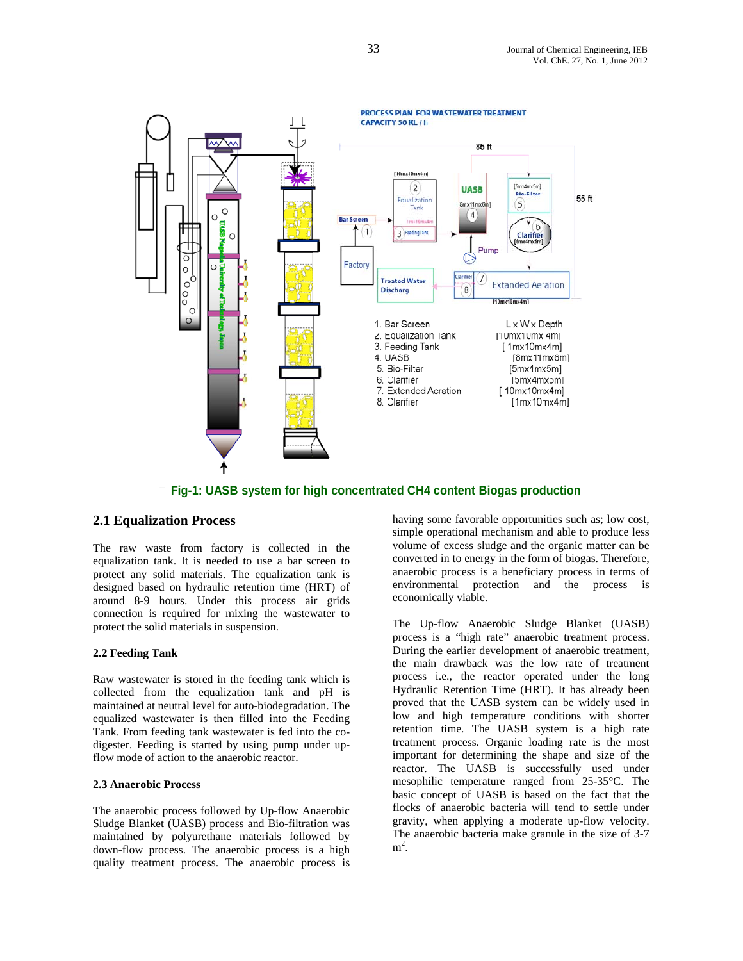

**Fig-1: UASB system for high concentrated CH4 content Biogas production**

### **2.1 Equalization Process**

The raw waste from factory is collected in the equalization tank. It is needed to use a bar screen to protect any solid materials. The equalization tank is designed based on hydraulic retention time (HRT) of around 8-9 hours. Under this process air grids connection is required for mixing the wastewater to protect the solid materials in suspension.

#### **2.2 Feeding Tank**

Raw wastewater is stored in the feeding tank which is collected from the equalization tank and pH is maintained at neutral level for auto-biodegradation. The equalized wastewater is then filled into the Feeding Tank. From feeding tank wastewater is fed into the codigester. Feeding is started by using pump under upflow mode of action to the anaerobic reactor.

#### **2.3 Anaerobic Process**

The anaerobic process followed by Up-flow Anaerobic Sludge Blanket (UASB) process and Bio-filtration was maintained by polyurethane materials followed by down-flow process. The anaerobic process is a high quality treatment process. The anaerobic process is

having some favorable opportunities such as; low cost, simple operational mechanism and able to produce less volume of excess sludge and the organic matter can be converted in to energy in the form of biogas. Therefore, anaerobic process is a beneficiary process in terms of environmental protection and the process is economically viable.

The Up-flow Anaerobic Sludge Blanket (UASB) process is a "high rate" anaerobic treatment process. During the earlier development of anaerobic treatment, the main drawback was the low rate of treatment process i.e., the reactor operated under the long Hydraulic Retention Time (HRT). It has already been proved that the UASB system can be widely used in low and high temperature conditions with shorter retention time. The UASB system is a high rate treatment process. Organic loading rate is the most important for determining the shape and size of the reactor. The UASB is successfully used under mesophilic temperature ranged from 25-35°C. The basic concept of UASB is based on the fact that the flocks of anaerobic bacteria will tend to settle under gravity, when applying a moderate up-flow velocity. The anaerobic bacteria make granule in the size of 3-7  $m^2$ .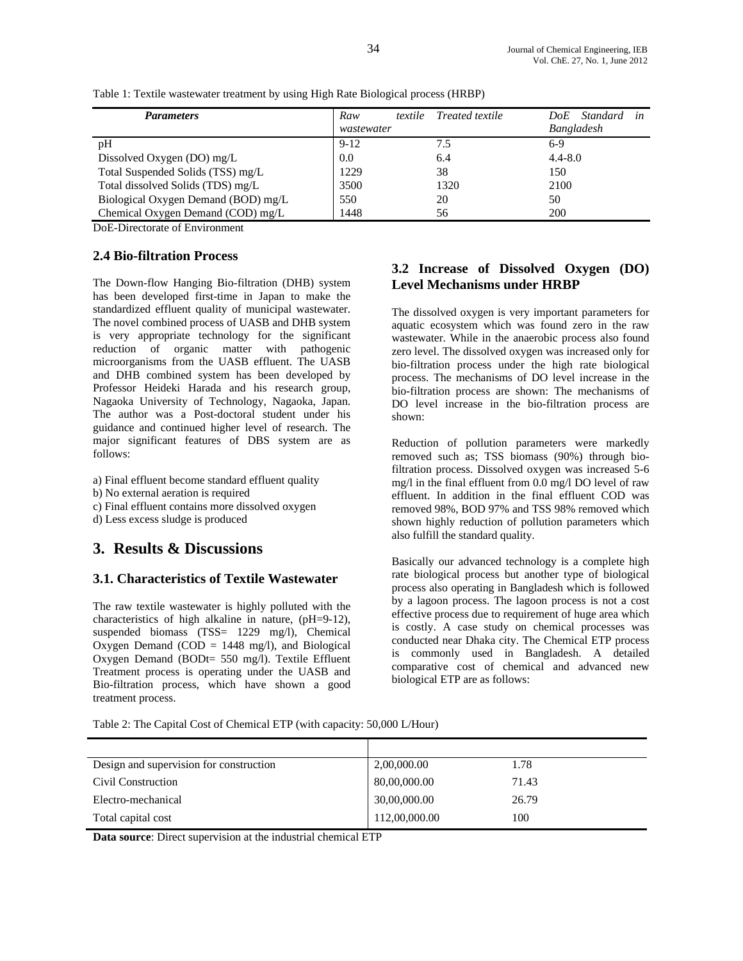| <b>Parameters</b>                   | textile<br>Raw<br>wastewater | <i>Treated textile</i> | Standard<br>DoE<br>in<br><b>Bangladesh</b> |
|-------------------------------------|------------------------------|------------------------|--------------------------------------------|
| pH                                  | $9-12$                       | 7.5                    | $6-9$                                      |
| Dissolved Oxygen (DO) mg/L          | 0.0                          | 6.4                    | $4.4 - 8.0$                                |
| Total Suspended Solids (TSS) mg/L   | 1229                         | 38                     | 150                                        |
| Total dissolved Solids (TDS) mg/L   | 3500                         | 1320                   | 2100                                       |
| Biological Oxygen Demand (BOD) mg/L | 550                          | 20                     | 50                                         |
| Chemical Oxygen Demand (COD) mg/L   | 1448                         | 56                     | 200                                        |

Table 1: Textile wastewater treatment by using High Rate Biological process (HRBP)

DoE-Directorate of Environment

### **2.4 Bio-filtration Process**

The Down-flow Hanging Bio-filtration (DHB) system has been developed first-time in Japan to make the standardized effluent quality of municipal wastewater. The novel combined process of UASB and DHB system is very appropriate technology for the significant reduction of organic matter with pathogenic microorganisms from the UASB effluent. The UASB and DHB combined system has been developed by Professor Heideki Harada and his research group, Nagaoka University of Technology, Nagaoka, Japan. The author was a Post-doctoral student under his guidance and continued higher level of research. The major significant features of DBS system are as follows:

a) Final effluent become standard effluent quality

- b) No external aeration is required
- c) Final effluent contains more dissolved oxygen

d) Less excess sludge is produced

# **3. Results & Discussions**

### **3.1. Characteristics of Textile Wastewater**

The raw textile wastewater is highly polluted with the characteristics of high alkaline in nature, (pH=9-12), suspended biomass (TSS= 1229 mg/l), Chemical Oxygen Demand (COD  $= 1448$  mg/l), and Biological Oxygen Demand (BODt= 550 mg/l). Textile Effluent Treatment process is operating under the UASB and Bio-filtration process, which have shown a good treatment process.

# **3.2 Increase of Dissolved Oxygen (DO) Level Mechanisms under HRBP**

The dissolved oxygen is very important parameters for aquatic ecosystem which was found zero in the raw wastewater. While in the anaerobic process also found zero level. The dissolved oxygen was increased only for bio-filtration process under the high rate biological process. The mechanisms of DO level increase in the bio-filtration process are shown: The mechanisms of DO level increase in the bio-filtration process are shown:

Reduction of pollution parameters were markedly removed such as; TSS biomass (90%) through biofiltration process. Dissolved oxygen was increased 5-6 mg/l in the final effluent from 0.0 mg/l DO level of raw effluent. In addition in the final effluent COD was removed 98%, BOD 97% and TSS 98% removed which shown highly reduction of pollution parameters which also fulfill the standard quality.

Basically our advanced technology is a complete high rate biological process but another type of biological process also operating in Bangladesh which is followed by a lagoon process. The lagoon process is not a cost effective process due to requirement of huge area which is costly. A case study on chemical processes was conducted near Dhaka city. The Chemical ETP process is commonly used in Bangladesh. A detailed comparative cost of chemical and advanced new biological ETP are as follows:

Table 2: The Capital Cost of Chemical ETP (with capacity: 50,000 L/Hour)

| Design and supervision for construction | 2,00,000.00   | 1.78  |
|-----------------------------------------|---------------|-------|
| Civil Construction                      | 80,00,000.00  | 71.43 |
| Electro-mechanical                      | 30,00,000.00  | 26.79 |
| Total capital cost                      | 112,00,000.00 | 100   |

**Data source**: Direct supervision at the industrial chemical ETP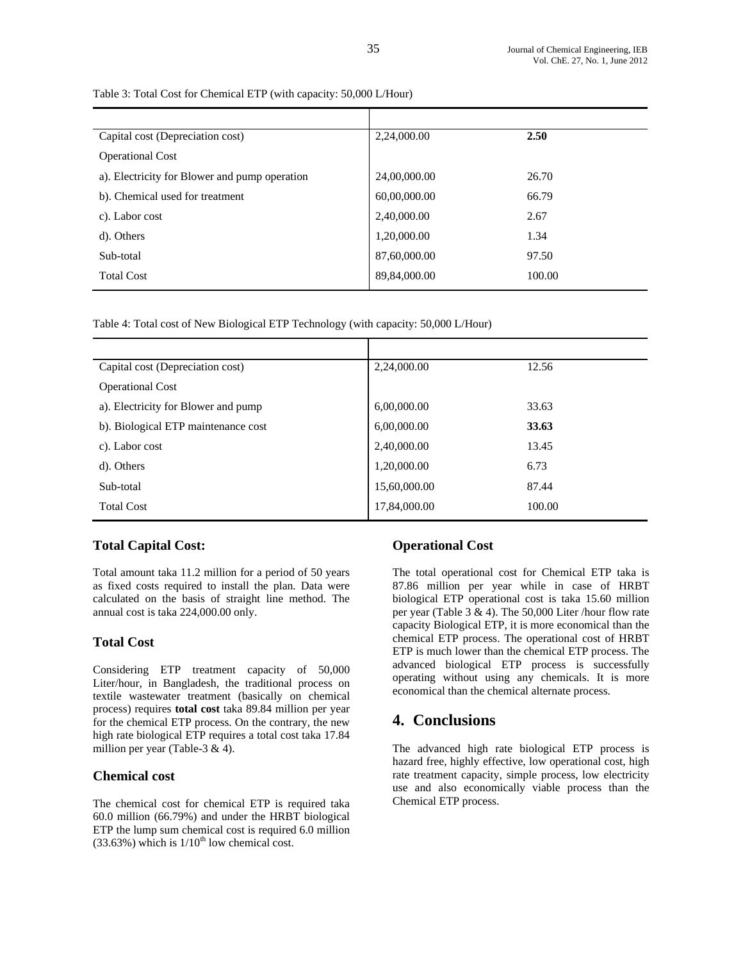Table 3: Total Cost for Chemical ETP (with capacity: 50,000 L/Hour)

| Capital cost (Depreciation cost)              | 2,24,000.00  | 2.50   |
|-----------------------------------------------|--------------|--------|
| <b>Operational Cost</b>                       |              |        |
| a). Electricity for Blower and pump operation | 24,00,000.00 | 26.70  |
| b). Chemical used for treatment               | 60,00,000.00 | 66.79  |
| c). Labor cost                                | 2,40,000.00  | 2.67   |
| d). Others                                    | 1,20,000.00  | 1.34   |
| Sub-total                                     | 87,60,000.00 | 97.50  |
| <b>Total Cost</b>                             | 89,84,000.00 | 100.00 |

Table 4: Total cost of New Biological ETP Technology (with capacity: 50,000 L/Hour)

| Capital cost (Depreciation cost)    | 2,24,000.00  | 12.56  |
|-------------------------------------|--------------|--------|
| <b>Operational Cost</b>             |              |        |
| a). Electricity for Blower and pump | 6,00,000.00  | 33.63  |
| b). Biological ETP maintenance cost | 6,00,000.00  | 33.63  |
| c). Labor cost                      | 2,40,000.00  | 13.45  |
| d). Others                          | 1,20,000.00  | 6.73   |
| Sub-total                           | 15,60,000.00 | 87.44  |
| <b>Total Cost</b>                   | 17,84,000.00 | 100.00 |

# **Total Capital Cost:**

Total amount taka 11.2 million for a period of 50 years as fixed costs required to install the plan. Data were calculated on the basis of straight line method. The annual cost is taka 224,000.00 only.

## **Total Cost**

Considering ETP treatment capacity of 50,000 Liter/hour, in Bangladesh, the traditional process on textile wastewater treatment (basically on chemical process) requires **total cost** taka 89.84 million per year for the chemical ETP process. On the contrary, the new high rate biological ETP requires a total cost taka 17.84 million per year (Table-3 & 4).

## **Chemical cost**

The chemical cost for chemical ETP is required taka 60.0 million (66.79%) and under the HRBT biological ETP the lump sum chemical cost is required 6.0 million  $(33.63\%)$  which is  $1/10<sup>th</sup>$  low chemical cost.

### **Operational Cost**

The total operational cost for Chemical ETP taka is 87.86 million per year while in case of HRBT biological ETP operational cost is taka 15.60 million per year (Table 3 & 4). The 50,000 Liter /hour flow rate capacity Biological ETP, it is more economical than the chemical ETP process. The operational cost of HRBT ETP is much lower than the chemical ETP process. The advanced biological ETP process is successfully operating without using any chemicals. It is more economical than the chemical alternate process.

# **4. Conclusions**

The advanced high rate biological ETP process is hazard free, highly effective, low operational cost, high rate treatment capacity, simple process, low electricity use and also economically viable process than the Chemical ETP process.